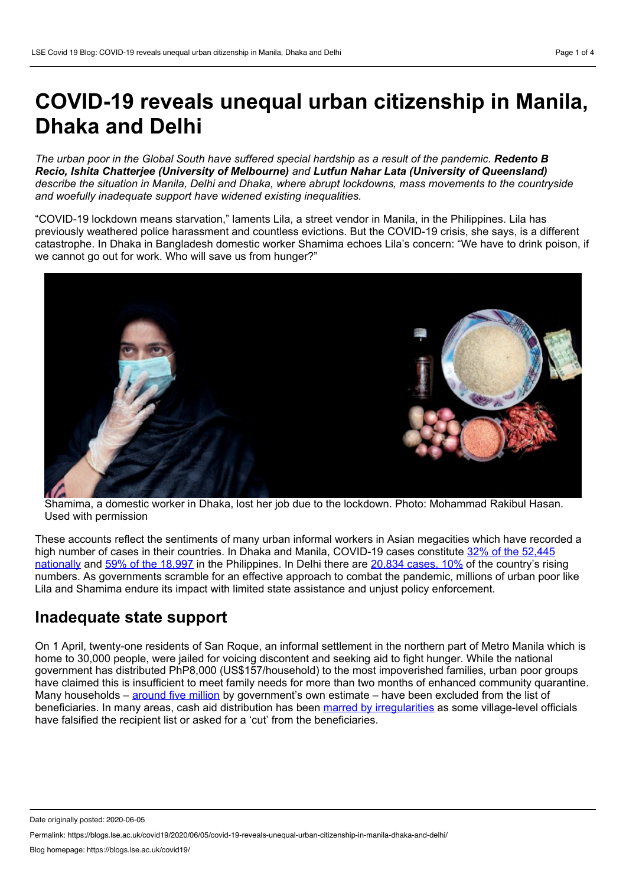# **COVID-19 reveals unequal urban citizenship in Manila, Dhaka and Delhi**

The urban poor in the Global South have suffered special hardship as a result of the pandemic. Redento B *Recio, Ishita Chatterjee (University of Melbourne) and Lutfun Nahar Lata (University of Queensland) describe the situation in Manila, Delhi and Dhaka, where abrupt lockdowns, mass movements to the countryside and woefully inadequate support have widened existing inequalities.*

"COVID-19 lockdown means starvation," laments Lila, a street vendor in Manila, in the Philippines. Lila has previously weathered police harassment and countless evictions. But the COVID-19 crisis, she says, is a different catastrophe. In Dhaka in Bangladesh domestic worker Shamima echoes Lila's concern: "We have to drink poison, if we cannot go out for work. Who will save us from hunger?"



Shamima, a domestic worker in Dhaka, lost her job due to the lockdown. Photo: Mohammad Rakibul Hasan. Used with permission

These accounts reflect the sentiments of many urban informal workers in Asian megacities which have recorded a high number of cases in their countries. In Dhaka and Manila, COVID-19 cases constitute 32% of the 52,445 nationally and 59% of the [18,997](https://www.doh.gov.ph/2019-nCoV) in the [Philippines.](https://www.iedcr.gov.bd/) In Delhi there are [20,834](https://www.ndtv.com/coronavirus/fullcoverage?pfrom=home-coronavirus-mainnavgation_live) cases, 10% of the country's rising numbers. As governments scramble for an effective approach to combat the pandemic, millions of urban poor like Lila and Shamima endure its impact with limited state assistance and unjust policy enforcement.

# **Inadequate state support**

On 1 April, twenty-one residents of San Roque, an informal settlement in the northern part of Metro Manila which is home to 30,000 people, were jailed for voicing discontent and seeking aid to fight hunger. While the national government has distributed PhP8,000 (US\$157/household) to the most impoverished families, urban poor groups have claimed this is insufficient to meet family needs for more than two months of enhanced community quarantine. Many households – [around](https://www.msn.com/en-ph/news/national/lgus-directed-to-identify-families-left-out-of-sap/ar-BB14jvxa) five million by government's own estimate – have been excluded from the list of beneficiaries. In many areas, cash aid distribution has been marred by [irregularities](https://www.gmanetwork.com/news/news/nation/739156/dilg-s-malaya-42-barangay-execs-facing-criminal-raps-over-alleged-cash-aid-distribution-anomalies/story/) as some village-level officials have falsified the recipient list or asked for a 'cut' from the beneficiaries.

Date originally posted: 2020-06-05

Permalink: https://blogs.lse.ac.uk/covid19/2020/06/05/covid-19-reveals-unequal-urban-citizenship-in-manila-dhaka-and-delhi/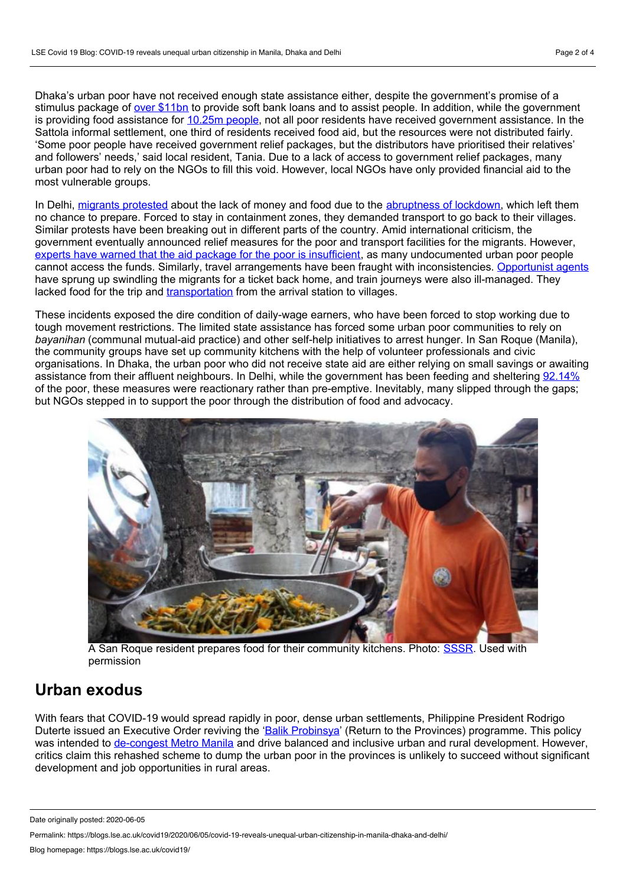Dhaka's urban poor have not received enough state assistance either, despite the government's promise of a stimulus package of over [\\$11bn](https://www.aa.com.tr/en/asia-pacific/bangladesh-poor-struggle-to-survive-amid-covid-19/1819868) to provide soft bank loans and to assist people. In addition, while the government is providing food assistance for [10.25m](https://www.aa.com.tr/en/asia-pacific/bangladesh-poor-struggle-to-survive-amid-covid-19/1819868) people, not all poor residents have received government assistance. In the Sattola informal settlement, one third of residents received food aid, but the resources were not distributed fairly. 'Some poor people have received government relief packages, but the distributors have prioritised their relatives' and followers' needs,' said local resident, Tania. Due to a lack of access to government relief packages, many urban poor had to rely on the NGOs to fill this void. However, local NGOs have only provided financial aid to the most vulnerable groups.

In Delhi, migrants [protested](https://www.thehindu.com/news/cities/Delhi/migrant-workers-stage-protest-demanding-to-be-sent-home/article31506080.ece) about the lack of money and food due to the [abruptness](https://foreignpolicy.com/2020/04/10/modis-india-isnt-prepared-for-the-coronavirus/) of lockdown, which left them no chance to prepare. Forced to stay in containment zones, they demanded transport to go back to their villages. Similar protests have been breaking out in different parts of the country. Amid international criticism, the government eventually announced relief measures for the poor and transport facilities for the migrants. However, experts have warned that the aid package for the poor is [insufficient,](https://thewire.in/economy/coronavirus-lockdown-india-relief-package-poor) as many undocumented urban poor people cannot access the funds. Similarly, travel arrangements have been fraught with inconsistencies. [Opportunist](https://scroll.in/article/962404/as-shramik-trains-remain-shrouded-in-secrecy-agents-are-cheating-desperate-migrant-workers) agents have sprung up swindling the migrants for a ticket back home, and train journeys were also ill-managed. They lacked food for the trip and [transportation](https://thewire.in/labour/without-food-for-days-and-in-searing-heat-migrants-die-on-shramik-special-trains) from the arrival station to villages.

These incidents exposed the dire condition of daily-wage earners, who have been forced to stop working due to tough movement restrictions. The limited state assistance has forced some urban poor communities to rely on *bayanihan* (communal mutual-aid practice) and other self-help initiatives to arrest hunger. In San Roque (Manila), the community groups have set up community kitchens with the help of volunteer professionals and civic organisations. In Dhaka, the urban poor who did not receive state aid are either relying on small savings or awaiting assistance from their affluent neighbours. In Delhi, while the government has been feeding and sheltering [92.14%](https://www.indiatoday.in/india/story/in-13-states-ngos-fed-more-people-than-govt-during-coronavirus-lockdown-1665111-2020-04-09) of the poor, these measures were reactionary rather than pre-emptive. Inevitably, many slipped through the gaps; but NGOs stepped in to support the poor through the distribution of food and advocacy.



A San Roque resident prepares food for their community kitchens. Photo: [SSSR.](https://www.facebook.com/SaveSitioSanRoque/) Used with permission

# **Urban exodus**

With fears that COVID-19 would spread rapidly in poor, dense urban settlements, Philippine President Rodrigo Duterte issued an Executive Order reviving the 'Balik [Probinsya'](https://www.officialgazette.gov.ph/downloads/2020/05may/20200506-EO-114-RRD.pdf) (Return to the Provinces) programme. This policy was intended to [de-congest](https://newsinfo.inquirer.net/1269569/senate-adopts-go-sponsored-resolution-pushing-for-balik-probinsya-program) Metro Manila and drive balanced and inclusive urban and rural development. However, critics claim this rehashed scheme to dump the urban poor in the provinces is unlikely to succeed without significant development and job opportunities in rural areas.

Date originally posted: 2020-06-05

Permalink: https://blogs.lse.ac.uk/covid19/2020/06/05/covid-19-reveals-unequal-urban-citizenship-in-manila-dhaka-and-delhi/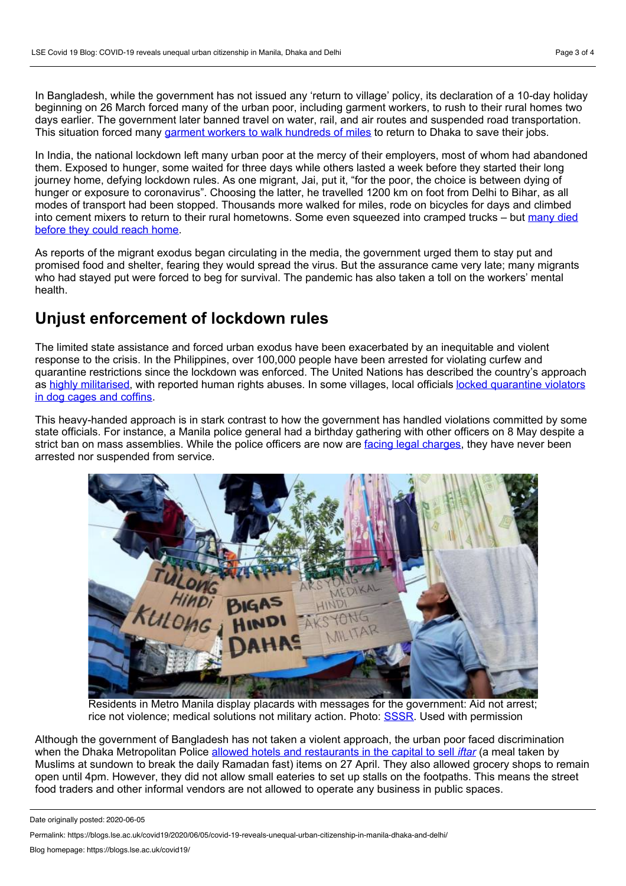In Bangladesh, while the government has not issued any 'return to village' policy, its declaration of a 10-day holiday beginning on 26 March forced many of the urban poor, including garment workers, to rush to their rural homes two days earlier. The government later banned travel on water, rail, and air routes and suspended road transportation. This situation forced many garment workers to walk [hundreds](https://bdnews24.com/bangladesh/2020/04/04/with-job-on-the-line-hundreds-of-bangladesh-workers-walk-over-100km-to-rmg-factories) of miles to return to Dhaka to save their jobs.

In India, the national lockdown left many urban poor at the mercy of their employers, most of whom had abandoned them. Exposed to hunger, some waited for three days while others lasted a week before they started their long journey home, defying lockdown rules. As one migrant, Jai, put it, "for the poor, the choice is between dying of hunger or exposure to coronavirus". Choosing the latter, he travelled 1200 km on foot from Delhi to Bihar, as all modes of transport had been stopped. Thousands more walked for miles, rode on bicycles for days and climbed into cement mixers to return to their rural [hometowns.](https://thejeshgn.com/projects/covid19-india/non-virus-deaths/) Some even squeezed into cramped trucks – but many died before they could reach home.

As reports of the migrant exodus began circulating in the media, the government urged them to stay put and promised food and shelter, fearing they would spread the virus. But the assurance came very late; many migrants who had stayed put were forced to beg for survival. The pandemic has also taken a toll on the workers' mental health.

### **Unjust enforcement of lockdown rules**

The limited state assistance and forced urban exodus have been exacerbated by an inequitable and violent response to the crisis. In the Philippines, over 100,000 people have been arrested for violating curfew and quarantine restrictions since the lockdown was enforced. The United Nations has described the country's approach as highly [militarise](https://www.aljazeera.com/news/2020/04/hrw-covid-19-lockdown-violators-philippines-abused-200429080703660.html)[d,](https://www.abc.net.au/news/2020-04-29/philippines-social-volcano-threatening-to-erupt-amid-covid-19/12193188) with reported human rights abuses. In some villages, local officials locked quarantine violators in dog cages and coffins.

This heavy-handed approach is in stark contrast to how the government has handled violations committed by some state officials. For instance, a Manila police general had a birthday gathering with other officers on 8 May despite a strict ban on mass assemblies. While the police officers are now are facing legal [charges](https://www.gmanetwork.com/news/news/nation/738400/pnp-files-raps-vs-sinas-18-others-over-mananita-amid-ecq/story/), they have never been arrested nor suspended from service.



Residents in Metro Manila display placards with messages for the government: Aid not arrest; rice not violence; medical solutions not military action. Photo: **[SSSR](https://www.facebook.com/SaveSitioSanRoque/)**. Used with permission

Although the government of Bangladesh has not taken a violent approach, the urban poor faced discrimination when the Dhaka Metropolitan Police allowed hotels and [restaurants](https://www.dhakatribune.com/bangladesh/2020/04/27/govt-looking-to-ease-lockdown) in the capital to sell *iftar* (a meal taken by Muslims at sundown to break the daily Ramadan fast) items on 27 April. They also allowed grocery shops to remain open until 4pm. However, they did not allow small eateries to set up stalls on the footpaths. This means the street food traders and other informal vendors are not allowed to operate any business in public spaces.

Date originally posted: 2020-06-05

Permalink: https://blogs.lse.ac.uk/covid19/2020/06/05/covid-19-reveals-unequal-urban-citizenship-in-manila-dhaka-and-delhi/